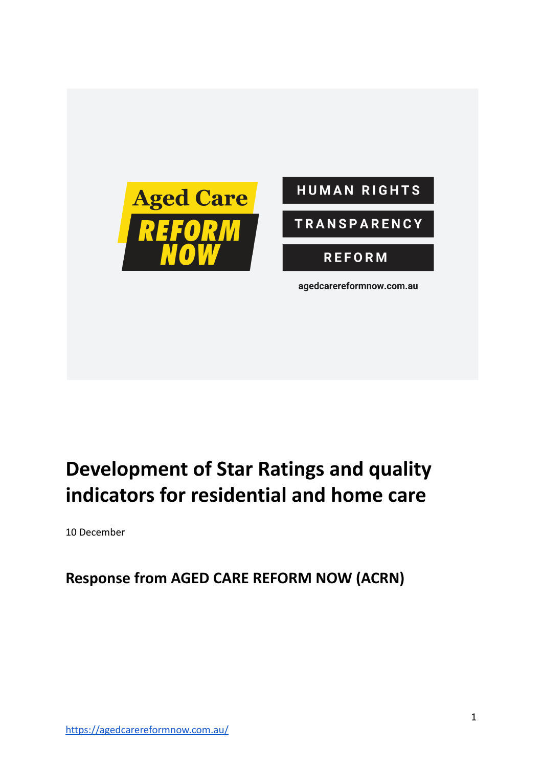



# **Development of Star Ratings and quality indicators for residential and home care**

10 December

**Response from AGED CARE REFORM NOW (ACRN)**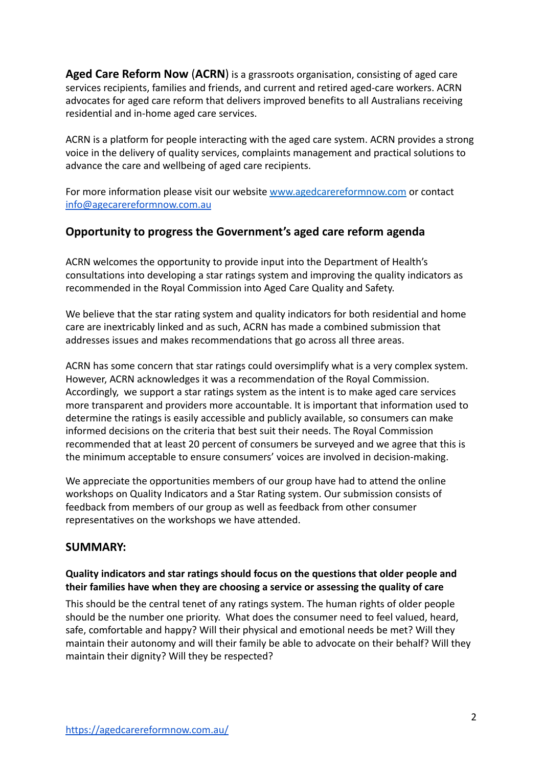**Aged Care Reform Now** (**ACRN**) is a grassroots organisation, consisting of aged care services recipients, families and friends, and current and retired aged-care workers. ACRN advocates for aged care reform that delivers improved benefits to all Australians receiving residential and in-home aged care services.

ACRN is a platform for people interacting with the aged care system. ACRN provides a strong voice in the delivery of quality services, complaints management and practical solutions to advance the care and wellbeing of aged care recipients.

For more information please visit our website [www.agedcarereformnow.com](http://www.agedcarereformnow.com) or contact [info@agecarereformnow.com.au](mailto:info@agecarereformnow.com.au)

### **Opportunity to progress the Government's aged care reform agenda**

ACRN welcomes the opportunity to provide input into the Department of Health's consultations into developing a star ratings system and improving the quality indicators as recommended in the Royal Commission into Aged Care Quality and Safety.

We believe that the star rating system and quality indicators for both residential and home care are inextricably linked and as such, ACRN has made a combined submission that addresses issues and makes recommendations that go across all three areas.

ACRN has some concern that star ratings could oversimplify what is a very complex system. However, ACRN acknowledges it was a recommendation of the Royal Commission. Accordingly, we support a star ratings system as the intent is to make aged care services more transparent and providers more accountable. It is important that information used to determine the ratings is easily accessible and publicly available, so consumers can make informed decisions on the criteria that best suit their needs. The Royal Commission recommended that at least 20 percent of consumers be surveyed and we agree that this is the minimum acceptable to ensure consumers' voices are involved in decision-making.

We appreciate the opportunities members of our group have had to attend the online workshops on Quality Indicators and a Star Rating system. Our submission consists of feedback from members of our group as well as feedback from other consumer representatives on the workshops we have attended.

### **SUMMARY:**

### **Quality indicators and star ratings should focus on the questions that older people and their families have when they are choosing a service or assessing the quality of care**

This should be the central tenet of any ratings system. The human rights of older people should be the number one priority. What does the consumer need to feel valued, heard, safe, comfortable and happy? Will their physical and emotional needs be met? Will they maintain their autonomy and will their family be able to advocate on their behalf? Will they maintain their dignity? Will they be respected?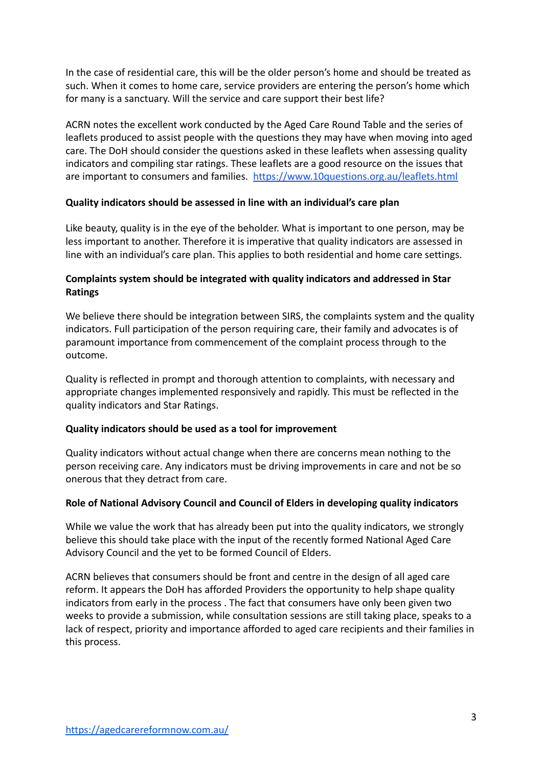In the case of residential care, this will be the older person's home and should be treated as such. When it comes to home care, service providers are entering the person's home which for many is a sanctuary. Will the service and care support their best life?

ACRN notes the excellent work conducted by the Aged Care Round Table and the series of leaflets produced to assist people with the questions they may have when moving into aged care. The DoH should consider the questions asked in these leaflets when assessing quality indicators and compiling star ratings. These leaflets are a good resource on the issues that are important to consumers and families. <https://www.10questions.org.au/leaflets.html>

### **Quality indicators should be assessed in line with an individual's care plan**

Like beauty, quality is in the eye of the beholder. What is important to one person, may be less important to another. Therefore it is imperative that quality indicators are assessed in line with an individual's care plan. This applies to both residential and home care settings.

#### **Complaints system should be integrated with quality indicators and addressed in Star Ratings**

We believe there should be integration between SIRS, the complaints system and the quality indicators. Full participation of the person requiring care, their family and advocates is of paramount importance from commencement of the complaint process through to the outcome.

Quality is reflected in prompt and thorough attention to complaints, with necessary and appropriate changes implemented responsively and rapidly. This must be reflected in the quality indicators and Star Ratings.

### **Quality indicators should be used as a tool for improvement**

Quality indicators without actual change when there are concerns mean nothing to the person receiving care. Any indicators must be driving improvements in care and not be so onerous that they detract from care.

#### **Role of National Advisory Council and Council of Elders in developing quality indicators**

While we value the work that has already been put into the quality indicators, we strongly believe this should take place with the input of the recently formed National Aged Care Advisory Council and the yet to be formed Council of Elders.

ACRN believes that consumers should be front and centre in the design of all aged care reform. It appears the DoH has afforded Providers the opportunity to help shape quality indicators from early in the process . The fact that consumers have only been given two weeks to provide a submission, while consultation sessions are still taking place, speaks to a lack of respect, priority and importance afforded to aged care recipients and their families in this process.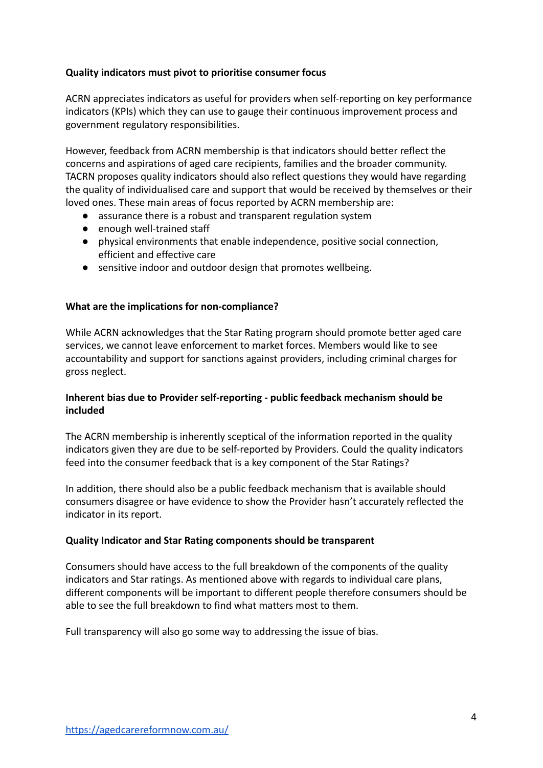### **Quality indicators must pivot to prioritise consumer focus**

ACRN appreciates indicators as useful for providers when self-reporting on key performance indicators (KPIs) which they can use to gauge their continuous improvement process and government regulatory responsibilities.

However, feedback from ACRN membership is that indicators should better reflect the concerns and aspirations of aged care recipients, families and the broader community. TACRN proposes quality indicators should also reflect questions they would have regarding the quality of individualised care and support that would be received by themselves or their loved ones. These main areas of focus reported by ACRN membership are:

- assurance there is a robust and transparent regulation system
- enough well-trained staff
- physical environments that enable independence, positive social connection, efficient and effective care
- sensitive indoor and outdoor design that promotes wellbeing.

#### **What are the implications for non-compliance?**

While ACRN acknowledges that the Star Rating program should promote better aged care services, we cannot leave enforcement to market forces. Members would like to see accountability and support for sanctions against providers, including criminal charges for gross neglect.

#### **Inherent bias due to Provider self-reporting - public feedback mechanism should be included**

The ACRN membership is inherently sceptical of the information reported in the quality indicators given they are due to be self-reported by Providers. Could the quality indicators feed into the consumer feedback that is a key component of the Star Ratings?

In addition, there should also be a public feedback mechanism that is available should consumers disagree or have evidence to show the Provider hasn't accurately reflected the indicator in its report.

#### **Quality Indicator and Star Rating components should be transparent**

Consumers should have access to the full breakdown of the components of the quality indicators and Star ratings. As mentioned above with regards to individual care plans, different components will be important to different people therefore consumers should be able to see the full breakdown to find what matters most to them.

Full transparency will also go some way to addressing the issue of bias.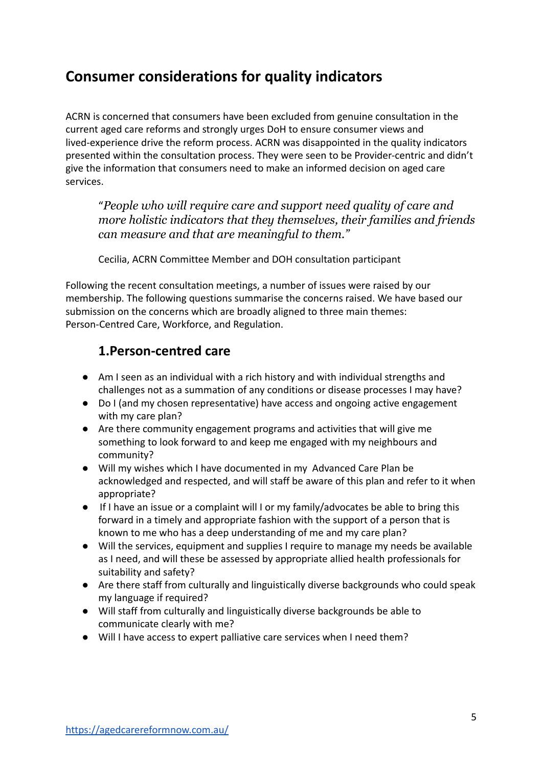## **Consumer considerations for quality indicators**

ACRN is concerned that consumers have been excluded from genuine consultation in the current aged care reforms and strongly urges DoH to ensure consumer views and lived-experience drive the reform process. ACRN was disappointed in the quality indicators presented within the consultation process. They were seen to be Provider-centric and didn't give the information that consumers need to make an informed decision on aged care services.

"*People who will require care and support need quality of care and more holistic indicators that they themselves, their families and friends can measure and that are meaningful to them."*

Cecilia, ACRN Committee Member and DOH consultation participant

Following the recent consultation meetings, a number of issues were raised by our membership. The following questions summarise the concerns raised. We have based our submission on the concerns which are broadly aligned to three main themes: Person-Centred Care, Workforce, and Regulation.

### **1.Person-centred care**

- Am I seen as an individual with a rich history and with individual strengths and challenges not as a summation of any conditions or disease processes I may have?
- Do I (and my chosen representative) have access and ongoing active engagement with my care plan?
- Are there community engagement programs and activities that will give me something to look forward to and keep me engaged with my neighbours and community?
- Will my wishes which I have documented in my Advanced Care Plan be acknowledged and respected, and will staff be aware of this plan and refer to it when appropriate?
- If I have an issue or a complaint will I or my family/advocates be able to bring this forward in a timely and appropriate fashion with the support of a person that is known to me who has a deep understanding of me and my care plan?
- Will the services, equipment and supplies I require to manage my needs be available as I need, and will these be assessed by appropriate allied health professionals for suitability and safety?
- Are there staff from culturally and linguistically diverse backgrounds who could speak my language if required?
- Will staff from culturally and linguistically diverse backgrounds be able to communicate clearly with me?
- Will I have access to expert palliative care services when I need them?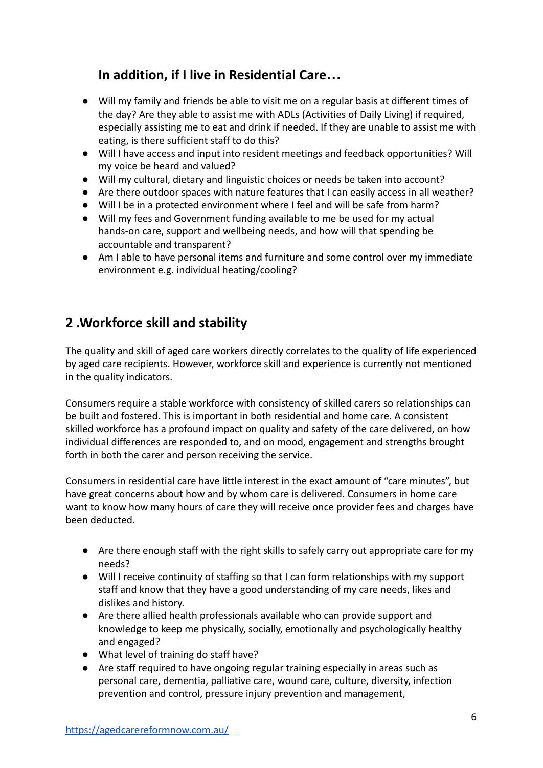### **In addition, if I live in Residential Care…**

- Will my family and friends be able to visit me on a regular basis at different times of the day? Are they able to assist me with ADLs (Activities of Daily Living) if required, especially assisting me to eat and drink if needed. If they are unable to assist me with eating, is there sufficient staff to do this?
- Will I have access and input into resident meetings and feedback opportunities? Will my voice be heard and valued?
- Will my cultural, dietary and linguistic choices or needs be taken into account?
- Are there outdoor spaces with nature features that I can easily access in all weather?
- Will I be in a protected environment where I feel and will be safe from harm?
- Will my fees and Government funding available to me be used for my actual hands-on care, support and wellbeing needs, and how will that spending be accountable and transparent?
- Am I able to have personal items and furniture and some control over my immediate environment e.g. individual heating/cooling?

### **2 .Workforce skill and stability**

The quality and skill of aged care workers directly correlates to the quality of life experienced by aged care recipients. However, workforce skill and experience is currently not mentioned in the quality indicators.

Consumers require a stable workforce with consistency of skilled carers so relationships can be built and fostered. This is important in both residential and home care. A consistent skilled workforce has a profound impact on quality and safety of the care delivered, on how individual differences are responded to, and on mood, engagement and strengths brought forth in both the carer and person receiving the service.

Consumers in residential care have little interest in the exact amount of "care minutes", but have great concerns about how and by whom care is delivered. Consumers in home care want to know how many hours of care they will receive once provider fees and charges have been deducted.

- Are there enough staff with the right skills to safely carry out appropriate care for my needs?
- Will I receive continuity of staffing so that I can form relationships with my support staff and know that they have a good understanding of my care needs, likes and dislikes and history.
- Are there allied health professionals available who can provide support and knowledge to keep me physically, socially, emotionally and psychologically healthy and engaged?
- What level of training do staff have?
- Are staff required to have ongoing regular training especially in areas such as personal care, dementia, palliative care, wound care, culture, diversity, infection prevention and control, pressure injury prevention and management,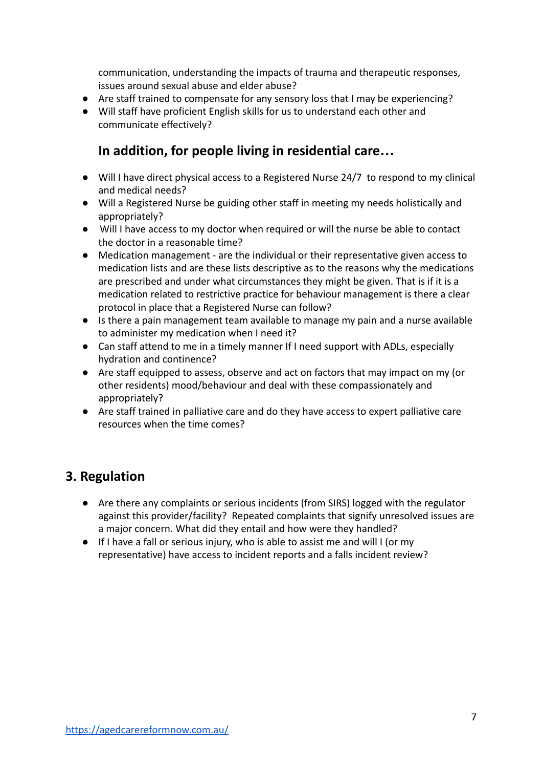communication, understanding the impacts of trauma and therapeutic responses, issues around sexual abuse and elder abuse?

- Are staff trained to compensate for any sensory loss that I may be experiencing?
- Will staff have proficient English skills for us to understand each other and communicate effectively?

### **In addition, for people living in residential care…**

- Will I have direct physical access to a Registered Nurse 24/7 to respond to my clinical and medical needs?
- Will a Registered Nurse be guiding other staff in meeting my needs holistically and appropriately?
- Will I have access to my doctor when required or will the nurse be able to contact the doctor in a reasonable time?
- Medication management are the individual or their representative given access to medication lists and are these lists descriptive as to the reasons why the medications are prescribed and under what circumstances they might be given. That is if it is a medication related to restrictive practice for behaviour management is there a clear protocol in place that a Registered Nurse can follow?
- Is there a pain management team available to manage my pain and a nurse available to administer my medication when I need it?
- Can staff attend to me in a timely manner If I need support with ADLs, especially hydration and continence?
- Are staff equipped to assess, observe and act on factors that may impact on my (or other residents) mood/behaviour and deal with these compassionately and appropriately?
- Are staff trained in palliative care and do they have access to expert palliative care resources when the time comes?

### **3. Regulation**

- Are there any complaints or serious incidents (from SIRS) logged with the regulator against this provider/facility? Repeated complaints that signify unresolved issues are a major concern. What did they entail and how were they handled?
- If I have a fall or serious injury, who is able to assist me and will I (or my representative) have access to incident reports and a falls incident review?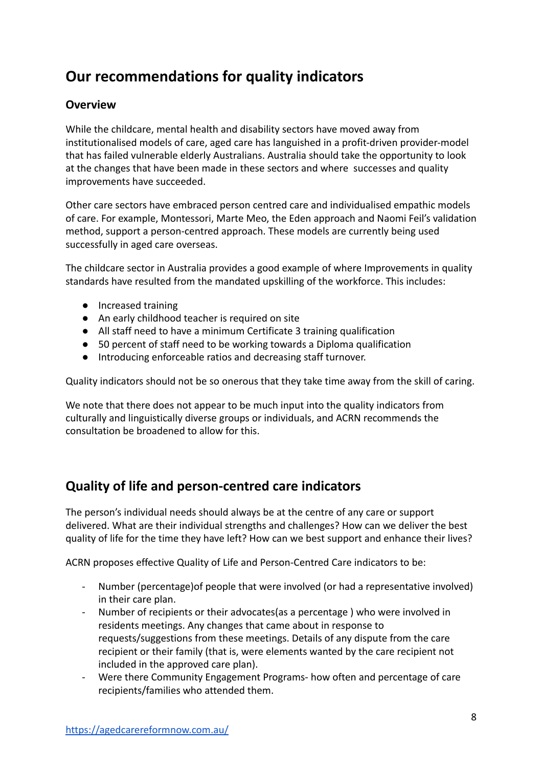## **Our recommendations for quality indicators**

### **Overview**

While the childcare, mental health and disability sectors have moved away from institutionalised models of care, aged care has languished in a profit-driven provider-model that has failed vulnerable elderly Australians. Australia should take the opportunity to look at the changes that have been made in these sectors and where successes and quality improvements have succeeded.

Other care sectors have embraced person centred care and individualised empathic models of care. For example, Montessori, Marte Meo, the Eden approach and Naomi Feil's validation method, support a person-centred approach. These models are currently being used successfully in aged care overseas.

The childcare sector in Australia provides a good example of where Improvements in quality standards have resulted from the mandated upskilling of the workforce. This includes:

- Increased training
- An early childhood teacher is required on site
- All staff need to have a minimum Certificate 3 training qualification
- 50 percent of staff need to be working towards a Diploma qualification
- Introducing enforceable ratios and decreasing staff turnover.

Quality indicators should not be so onerous that they take time away from the skill of caring.

We note that there does not appear to be much input into the quality indicators from culturally and linguistically diverse groups or individuals, and ACRN recommends the consultation be broadened to allow for this.

### **Quality of life and person-centred care indicators**

The person's individual needs should always be at the centre of any care or support delivered. What are their individual strengths and challenges? How can we deliver the best quality of life for the time they have left? How can we best support and enhance their lives?

ACRN proposes effective Quality of Life and Person-Centred Care indicators to be:

- Number (percentage)of people that were involved (or had a representative involved) in their care plan.
- Number of recipients or their advocates(as a percentage ) who were involved in residents meetings. Any changes that came about in response to requests/suggestions from these meetings. Details of any dispute from the care recipient or their family (that is, were elements wanted by the care recipient not included in the approved care plan).
- Were there Community Engagement Programs- how often and percentage of care recipients/families who attended them.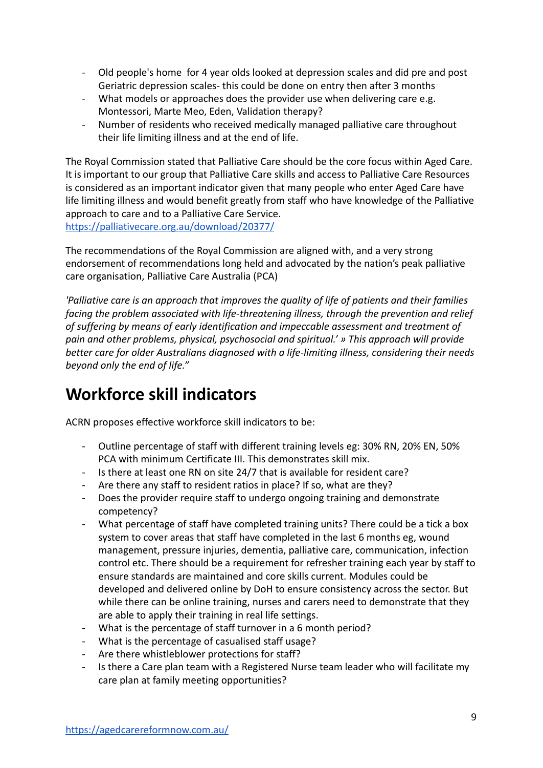- Old people's home for 4 year olds looked at depression scales and did pre and post Geriatric depression scales- this could be done on entry then after 3 months
- What models or approaches does the provider use when delivering care e.g. Montessori, Marte Meo, Eden, Validation therapy?
- Number of residents who received medically managed palliative care throughout their life limiting illness and at the end of life.

The Royal Commission stated that Palliative Care should be the core focus within Aged Care. It is important to our group that Palliative Care skills and access to Palliative Care Resources is considered as an important indicator given that many people who enter Aged Care have life limiting illness and would benefit greatly from staff who have knowledge of the Palliative approach to care and to a Palliative Care Service. <https://palliativecare.org.au/download/20377/>

The recommendations of the Royal Commission are aligned with, and a very strong endorsement of recommendations long held and advocated by the nation's peak palliative care organisation, Palliative Care Australia (PCA)

*'Palliative care is an approach that improves the quality of life of patients and their families facing the problem associated with life-threatening illness, through the prevention and relief of suffering by means of early identification and impeccable assessment and treatment of pain and other problems, physical, psychosocial and spiritual.' » This approach will provide better care for older Australians diagnosed with a life-limiting illness, considering their needs beyond only the end of life."*

## **Workforce skill indicators**

ACRN proposes effective workforce skill indicators to be:

- Outline percentage of staff with different training levels eg: 30% RN, 20% EN, 50% PCA with minimum Certificate III. This demonstrates skill mix.
- Is there at least one RN on site 24/7 that is available for resident care?
- Are there any staff to resident ratios in place? If so, what are they?
- Does the provider require staff to undergo ongoing training and demonstrate competency?
- What percentage of staff have completed training units? There could be a tick a box system to cover areas that staff have completed in the last 6 months eg, wound management, pressure injuries, dementia, palliative care, communication, infection control etc. There should be a requirement for refresher training each year by staff to ensure standards are maintained and core skills current. Modules could be developed and delivered online by DoH to ensure consistency across the sector. But while there can be online training, nurses and carers need to demonstrate that they are able to apply their training in real life settings.
- What is the percentage of staff turnover in a 6 month period?
- What is the percentage of casualised staff usage?
- Are there whistleblower protections for staff?
- Is there a Care plan team with a Registered Nurse team leader who will facilitate my care plan at family meeting opportunities?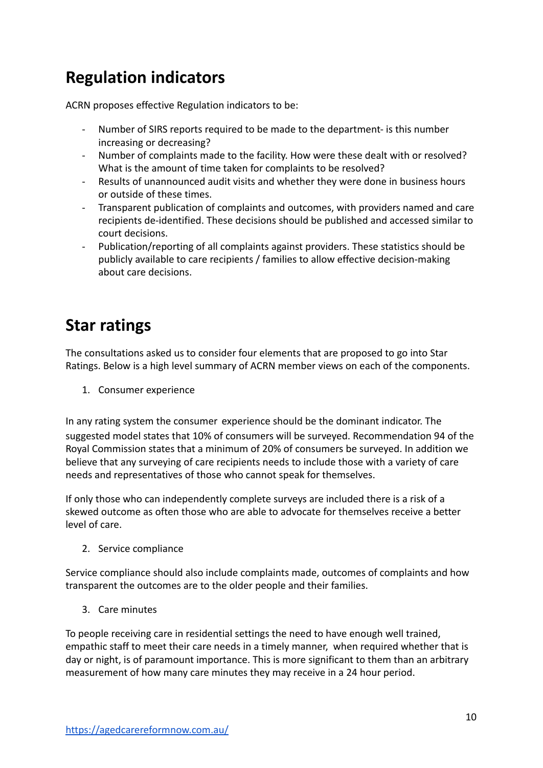## **Regulation indicators**

ACRN proposes effective Regulation indicators to be:

- Number of SIRS reports required to be made to the department- is this number increasing or decreasing?
- Number of complaints made to the facility. How were these dealt with or resolved? What is the amount of time taken for complaints to be resolved?
- Results of unannounced audit visits and whether they were done in business hours or outside of these times.
- Transparent publication of complaints and outcomes, with providers named and care recipients de-identified. These decisions should be published and accessed similar to court decisions.
- Publication/reporting of all complaints against providers. These statistics should be publicly available to care recipients / families to allow effective decision-making about care decisions.

## **Star ratings**

The consultations asked us to consider four elements that are proposed to go into Star Ratings. Below is a high level summary of ACRN member views on each of the components.

1. Consumer experience

In any rating system the consumer experience should be the dominant indicator. The suggested model states that 10% of consumers will be surveyed. Recommendation 94 of the Royal Commission states that a minimum of 20% of consumers be surveyed. In addition we believe that any surveying of care recipients needs to include those with a variety of care needs and representatives of those who cannot speak for themselves.

If only those who can independently complete surveys are included there is a risk of a skewed outcome as often those who are able to advocate for themselves receive a better level of care.

2. Service compliance

Service compliance should also include complaints made, outcomes of complaints and how transparent the outcomes are to the older people and their families.

3. Care minutes

To people receiving care in residential settings the need to have enough well trained, empathic staff to meet their care needs in a timely manner, when required whether that is day or night, is of paramount importance. This is more significant to them than an arbitrary measurement of how many care minutes they may receive in a 24 hour period.